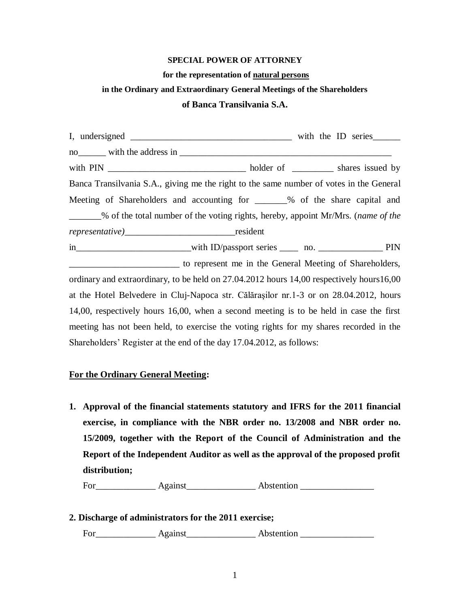### **SPECIAL POWER OF ATTORNEY**

#### **for the representation of natural persons**

# **in the Ordinary and Extraordinary General Meetings of the Shareholders**

#### **of Banca Transilvania S.A.**

| Banca Transilvania S.A., giving me the right to the same number of votes in the General   |                                                                                  |  |
|-------------------------------------------------------------------------------------------|----------------------------------------------------------------------------------|--|
| Meeting of Shareholders and accounting for _______% of the share capital and              |                                                                                  |  |
|                                                                                           | % of the total number of the voting rights, hereby, appoint Mr/Mrs. (name of the |  |
|                                                                                           |                                                                                  |  |
|                                                                                           |                                                                                  |  |
| to represent me in the General Meeting of Shareholders,                                   |                                                                                  |  |
| ordinary and extraordinary, to be held on 27.04.2012 hours 14,00 respectively hours 16,00 |                                                                                  |  |
| at the Hotel Belvedere in Cluj-Napoca str. Călărașilor nr.1-3 or on 28.04.2012, hours     |                                                                                  |  |
| 14,00, respectively hours 16,00, when a second meeting is to be held in case the first    |                                                                                  |  |
| meeting has not been held, to exercise the voting rights for my shares recorded in the    |                                                                                  |  |
| Shareholders' Register at the end of the day 17.04.2012, as follows:                      |                                                                                  |  |

## **For the Ordinary General Meeting:**

**1. Approval of the financial statements statutory and IFRS for the 2011 financial exercise, in compliance with the NBR order no. 13/2008 and NBR order no. 15/2009, together with the Report of the Council of Administration and the Report of the Independent Auditor as well as the approval of the proposed profit distribution;** 

For\_\_\_\_\_\_\_\_\_\_\_\_\_ Against\_\_\_\_\_\_\_\_\_\_\_\_\_\_\_ Abstention \_\_\_\_\_\_\_\_\_\_\_\_\_\_\_\_

### **2. Discharge of administrators for the 2011 exercise;**

For\_\_\_\_\_\_\_\_\_\_\_\_\_ Against\_\_\_\_\_\_\_\_\_\_\_\_\_\_\_ Abstention \_\_\_\_\_\_\_\_\_\_\_\_\_\_\_\_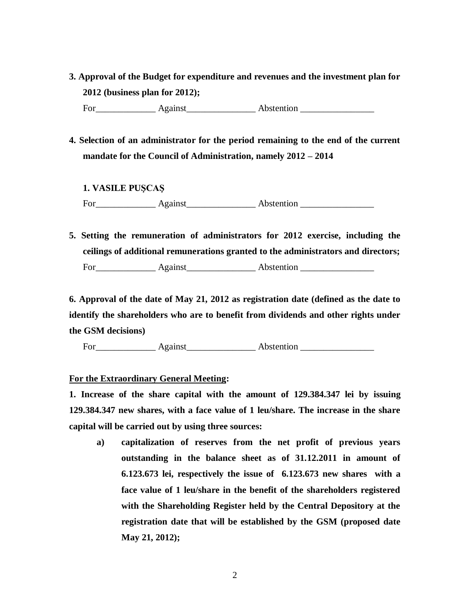- **3. Approval of the Budget for expenditure and revenues and the investment plan for 2012 (business plan for 2012);**  For Against Abstention
- **4. Selection of an administrator for the period remaining to the end of the current mandate for the Council of Administration, namely 2012 – 2014**
	- **1. VASILE PUŞCAŞ**

For\_\_\_\_\_\_\_\_\_\_\_\_\_ Against\_\_\_\_\_\_\_\_\_\_\_\_\_\_\_ Abstention \_\_\_\_\_\_\_\_\_\_\_\_\_\_\_\_

**5. Setting the remuneration of administrators for 2012 exercise, including the ceilings of additional remunerations granted to the administrators and directors;**  For Against Abstention **Abstention** 

**6. Approval of the date of May 21, 2012 as registration date (defined as the date to identify the shareholders who are to benefit from dividends and other rights under the GSM decisions)**

For Against Abstention

#### **For the Extraordinary General Meeting:**

**1. Increase of the share capital with the amount of 129.384.347 lei by issuing 129.384.347 new shares, with a face value of 1 leu/share. The increase in the share capital will be carried out by using three sources:**

**a) capitalization of reserves from the net profit of previous years outstanding in the balance sheet as of 31.12.2011 in amount of 6.123.673 lei, respectively the issue of 6.123.673 new shares with a face value of 1 leu/share in the benefit of the shareholders registered with the Shareholding Register held by the Central Depository at the registration date that will be established by the GSM (proposed date May 21, 2012);**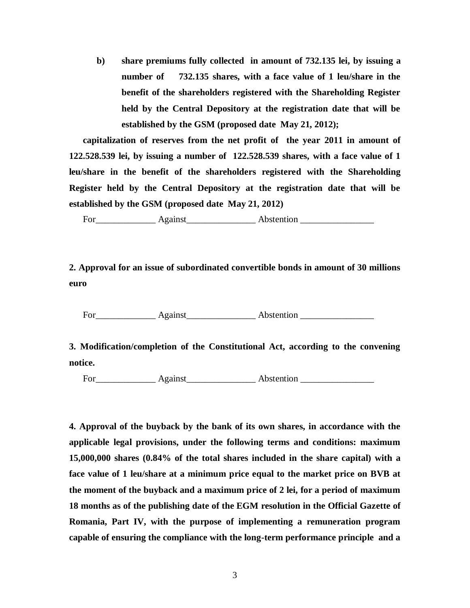**b) share premiums fully collected in amount of 732.135 lei, by issuing a number of 732.135 shares, with a face value of 1 leu/share in the benefit of the shareholders registered with the Shareholding Register held by the Central Depository at the registration date that will be established by the GSM (proposed date May 21, 2012);** 

**capitalization of reserves from the net profit of the year 2011 in amount of 122.528.539 lei, by issuing a number of 122.528.539 shares, with a face value of 1 leu/share in the benefit of the shareholders registered with the Shareholding Register held by the Central Depository at the registration date that will be established by the GSM (proposed date May 21, 2012)**

For Against Abstention **Abstention** 

**2. Approval for an issue of subordinated convertible bonds in amount of 30 millions euro**

For\_\_\_\_\_\_\_\_\_\_\_\_\_ Against\_\_\_\_\_\_\_\_\_\_\_\_\_\_\_ Abstention \_\_\_\_\_\_\_\_\_\_\_\_\_\_\_\_

**3. Modification/completion of the Constitutional Act, according to the convening notice.**

For Against Abstention **Abstention** 

**4. Approval of the buyback by the bank of its own shares, in accordance with the applicable legal provisions, under the following terms and conditions: maximum 15,000,000 shares (0.84% of the total shares included in the share capital) with a face value of 1 leu/share at a minimum price equal to the market price on BVB at the moment of the buyback and a maximum price of 2 lei, for a period of maximum 18 months as of the publishing date of the EGM resolution in the Official Gazette of Romania, Part IV, with the purpose of implementing a remuneration program capable of ensuring the compliance with the long-term performance principle and a**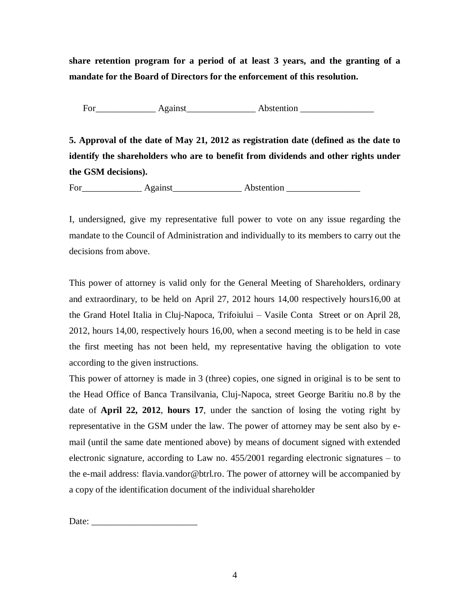**share retention program for a period of at least 3 years, and the granting of a mandate for the Board of Directors for the enforcement of this resolution.** 

For Against Abstention **Abstention** 

**5. Approval of the date of May 21, 2012 as registration date (defined as the date to identify the shareholders who are to benefit from dividends and other rights under the GSM decisions).** 

For\_\_\_\_\_\_\_\_\_\_\_\_\_ Against\_\_\_\_\_\_\_\_\_\_\_\_\_\_\_ Abstention \_\_\_\_\_\_\_\_\_\_\_\_\_\_\_\_

I, undersigned, give my representative full power to vote on any issue regarding the mandate to the Council of Administration and individually to its members to carry out the decisions from above.

This power of attorney is valid only for the General Meeting of Shareholders, ordinary and extraordinary, to be held on April 27, 2012 hours 14,00 respectively hours16,00 at the Grand Hotel Italia in Cluj-Napoca, Trifoiului – Vasile Conta Street or on April 28, 2012, hours 14,00, respectively hours 16,00, when a second meeting is to be held in case the first meeting has not been held, my representative having the obligation to vote according to the given instructions.

This power of attorney is made in 3 (three) copies, one signed in original is to be sent to the Head Office of Banca Transilvania, Cluj-Napoca, street George Baritiu no.8 by the date of **April 22, 2012**, **hours 17**, under the sanction of losing the voting right by representative in the GSM under the law. The power of attorney may be sent also by email (until the same date mentioned above) by means of document signed with extended electronic signature, according to Law no. 455/2001 regarding electronic signatures – to the e-mail address: flavia.vandor@btrl.ro. The power of attorney will be accompanied by a copy of the identification document of the individual shareholder

Date: \_\_\_\_\_\_\_\_\_\_\_\_\_\_\_\_\_\_\_\_\_\_\_